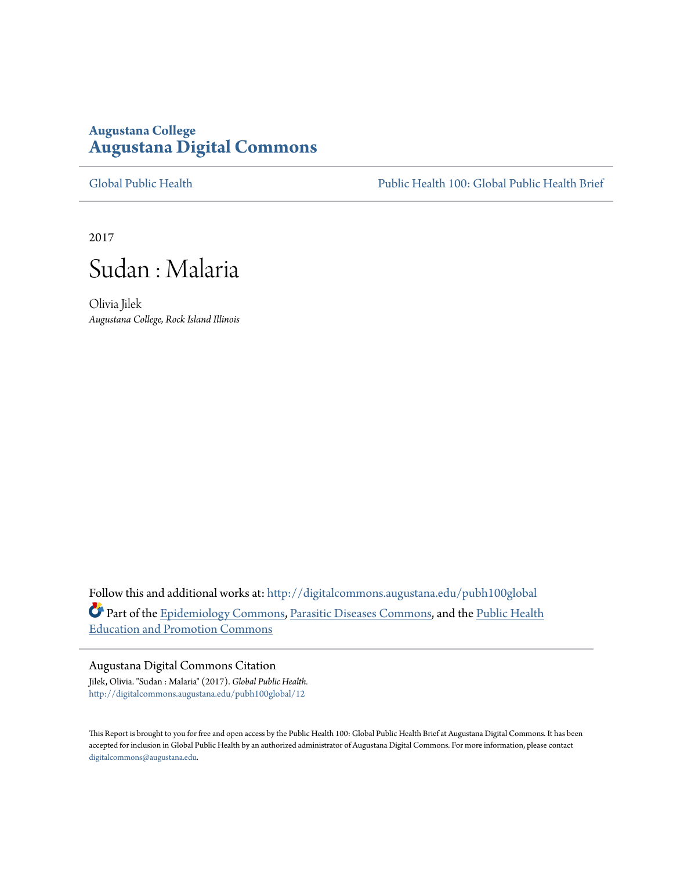## **Augustana College [Augustana Digital Commons](http://digitalcommons.augustana.edu?utm_source=digitalcommons.augustana.edu%2Fpubh100global%2F12&utm_medium=PDF&utm_campaign=PDFCoverPages)**

[Global Public Health](http://digitalcommons.augustana.edu/pubh100global?utm_source=digitalcommons.augustana.edu%2Fpubh100global%2F12&utm_medium=PDF&utm_campaign=PDFCoverPages) [Public Health 100: Global Public Health Brief](http://digitalcommons.augustana.edu/pubh100?utm_source=digitalcommons.augustana.edu%2Fpubh100global%2F12&utm_medium=PDF&utm_campaign=PDFCoverPages)

2017



Olivia Jilek *Augustana College, Rock Island Illinois*

Follow this and additional works at: [http://digitalcommons.augustana.edu/pubh100global](http://digitalcommons.augustana.edu/pubh100global?utm_source=digitalcommons.augustana.edu%2Fpubh100global%2F12&utm_medium=PDF&utm_campaign=PDFCoverPages) Part of the [Epidemiology Commons](http://network.bepress.com/hgg/discipline/740?utm_source=digitalcommons.augustana.edu%2Fpubh100global%2F12&utm_medium=PDF&utm_campaign=PDFCoverPages), [Parasitic Diseases Commons,](http://network.bepress.com/hgg/discipline/983?utm_source=digitalcommons.augustana.edu%2Fpubh100global%2F12&utm_medium=PDF&utm_campaign=PDFCoverPages) and the [Public Health](http://network.bepress.com/hgg/discipline/743?utm_source=digitalcommons.augustana.edu%2Fpubh100global%2F12&utm_medium=PDF&utm_campaign=PDFCoverPages) [Education and Promotion Commons](http://network.bepress.com/hgg/discipline/743?utm_source=digitalcommons.augustana.edu%2Fpubh100global%2F12&utm_medium=PDF&utm_campaign=PDFCoverPages)

Augustana Digital Commons Citation

Jilek, Olivia. "Sudan : Malaria" (2017). *Global Public Health.* [http://digitalcommons.augustana.edu/pubh100global/12](http://digitalcommons.augustana.edu/pubh100global/12?utm_source=digitalcommons.augustana.edu%2Fpubh100global%2F12&utm_medium=PDF&utm_campaign=PDFCoverPages)

This Report is brought to you for free and open access by the Public Health 100: Global Public Health Brief at Augustana Digital Commons. It has been accepted for inclusion in Global Public Health by an authorized administrator of Augustana Digital Commons. For more information, please contact [digitalcommons@augustana.edu.](mailto:digitalcommons@augustana.edu)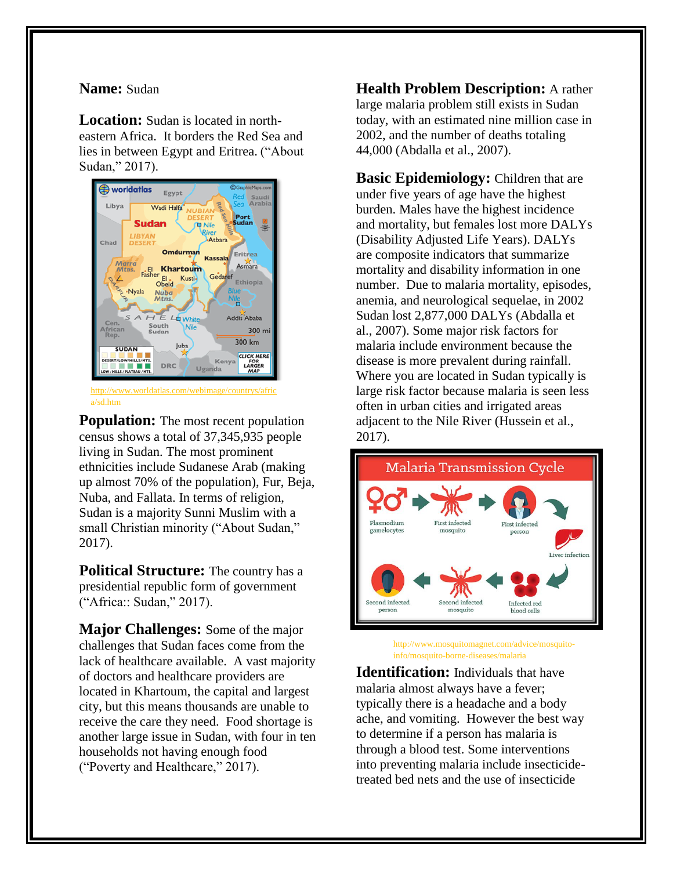## **Name:** Sudan

**Location:** Sudan is located in northeastern Africa. It borders the Red Sea and lies in between Egypt and Eritrea. ("About Sudan," 2017).



[http://www.worldatlas.com/webimage/countrys/afric](http://www.worldatlas.com/webimage/countrys/africa/sd.htm) [a/sd.htm](http://www.worldatlas.com/webimage/countrys/africa/sd.htm)

**Population:** The most recent population census shows a total of 37,345,935 people living in Sudan. The most prominent ethnicities include Sudanese Arab (making up almost 70% of the population), Fur, Beja, Nuba, and Fallata. In terms of religion, Sudan is a majority Sunni Muslim with a small Christian minority ("About Sudan," 2017).

**Political Structure:** The country has a presidential republic form of government ("Africa:: Sudan," 2017).

**Major Challenges:** Some of the major challenges that Sudan faces come from the lack of healthcare available. A vast majority of doctors and healthcare providers are located in Khartoum, the capital and largest city, but this means thousands are unable to receive the care they need. Food shortage is another large issue in Sudan, with four in ten households not having enough food ("Poverty and Healthcare," 2017).

**Health Problem Description:** A rather large malaria problem still exists in Sudan today, with an estimated nine million case in 2002, and the number of deaths totaling 44,000 (Abdalla et al., 2007).

**Basic Epidemiology:** Children that are under five years of age have the highest burden. Males have the highest incidence and mortality, but females lost more DALYs (Disability Adjusted Life Years). DALYs are composite indicators that summarize mortality and disability information in one number. Due to malaria mortality, episodes, anemia, and neurological sequelae, in 2002 Sudan lost 2,877,000 DALYs (Abdalla et al., 2007). Some major risk factors for malaria include environment because the disease is more prevalent during rainfall. Where you are located in Sudan typically is large risk factor because malaria is seen less often in urban cities and irrigated areas adjacent to the Nile River (Hussein et al., 2017).



http://www.mosquitomagnet.com/advice/mosquitoinfo/mosquito-borne-diseases/malaria

**Identification:** Individuals that have malaria almost always have a fever; typically there is a headache and a body ache, and vomiting. However the best way to determine if a person has malaria is through a blood test. Some interventions into preventing malaria include insecticidetreated bed nets and the use of insecticide